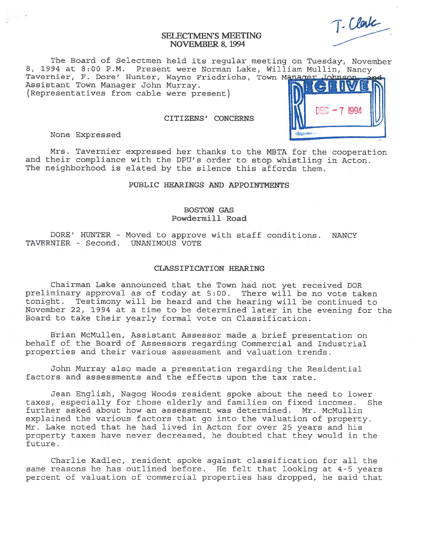# SELECTMEN'S MEETING NOVEMBER 8, 1994

T. Clark

**NFC - 7 1994** 

The Board of Selectmen held its regular meeting on Tuesday, November 8, <sup>1994</sup> at 8:00 P.M. Present were Norman Lake, William Mullin, Nancy Tavernier, F. Dore' Hunter, Wayne Friedrichs, Town Manager John

Assistant Town Manager John Murray. { Representatives from cable were present}

## CITIZENS' CONCERNS

None Expressed

Mrs. Tavernier expresse<sup>d</sup> her thanks to the MBTA for the cooperation and their compliance with the DPU's order to stop whistling in Acton. The neighborhood is elated by the silence this affords them.

### PUBLIC HEARINGS AND APPOINTMENTS

# BOSTON GAS Powdermill Road

DORE' HUNTER - Moved to approve with staff conditions. NANCY TAVERNIER - Second. UNANIMOUS VOTE

#### CLASSIFICATION HEARING

Chairman Lake announced that the Town had not ye<sup>t</sup> received DOR preliminary approval as of today at 5:00. There will be no vote taken tonight. Testimony will be heard and the hearing will be continued to November 22, <sup>1994</sup> at <sup>a</sup> time to be determined later in the evening for the Board to take their yearly formal vote on Classification.

Brian McMullen, Assistant Assessor made <sup>a</sup> brief presentation on behalf of the Board of Assessors regarding Commercial and Industrial properties and their various assessment and valuation trends.

John Murray also made <sup>a</sup> presentation regarding the Residential factors and assessments and the effects upon the tax rate.

Jean English, Nagog Woods resident spoke about the need to lower taxes, especially for those elderly and families on fixed incomes. She further asked about how an assessment was determined. Mr. McMullin explained the various factors that go into the valuation of property. Mr. Lake noted that he had lived in Acton for over 25 years and his property taxes have never decreased, he doubted that they would in the future.

Charlie Kadlec, resident spoke against classification for all the same reasons he has outlined before. He felt that looking at 4-5 years percen<sup>t</sup> of valuation of commercial properties has dropped, he said that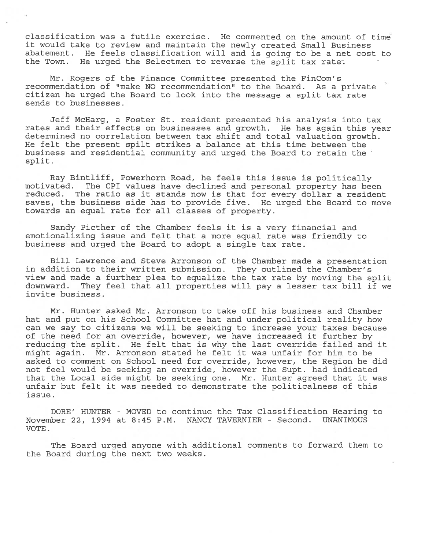classification was <sup>a</sup> futile exercise. He commented on the amount of time it would take to review and maintain the newly created Small Business abatement. He feels classification will and is going to be <sup>a</sup> net cost to the Town. He urged the Selectmen to reverse the split tax rate.

Mr. Rogers of the Finance Committee presented the FinCom's recommendation of "make NO recommendation" to the Board. As <sup>a</sup> private citizen he urged the Board to look into the message <sup>a</sup> split tax rate sends to businesses.

Jeff McHarg, <sup>a</sup> Foster St. resident presented his analysis into tax rates and their effects on businesses and growth. He has again this year determined no correlation between tax shift and total valuation growth. He felt the presen<sup>t</sup> spilt strikes <sup>a</sup> balance at this time between the business and residential community and urged the Board to retain the split.

Ray Bintliff, Powerhorn Road, he feels this issue is politically motivated. The CPI values have declined and personal property has been reduced. The ratio as it stands now is that for every dollar <sup>a</sup> resident saves, the business side has to provide five. He urged the Board to move towards an equal rate for all classes of property.

Sandy Picther of the Chamber feels it is <sup>a</sup> very financial and emotionalizing issue and felt that <sup>a</sup> more equal rate was friendly to business and urged the Board to adopt <sup>a</sup> single tax rate.

Bill Lawrence and Steve Arronson of the Chamber made <sup>a</sup> presentation in addition to their written submission. They outlined the Chamber's view and made <sup>a</sup> further plea to equalize the tax rate by moving the split downward. They feel that all properties will pay <sup>a</sup> lesser tax bill if we invite business.

Mr. Hunter asked Mr. Arronson to take off his business and Chamber hat and pu<sup>t</sup> on his School Committee hat and under political reality how can we say to citizens we will be seeking to increase your taxes because of the need for an override, however, we have increased it further by reducing the split. He felt that is why the last override failed and it might again. Mr. Arronson stated he felt it was unfair for him to be asked to comment on School need for override, however, the Region he did not feel would be seeking an override, however the Supt. had indicated that the Local side might be seeking one. Mr. Hunter agreed that it was unfair but felt it was needed to demonstrate the politicalness of this issue.

DORE' HUNTER - MOVED to continue the Tax Classification Hearing to November 22, 1994 at 8:45 P.M. NANCY TAVERNIER - Second. UNANIMOUS VOTE.

The Board urged anyone with additional comments to forward them to the Board during the next two weeks.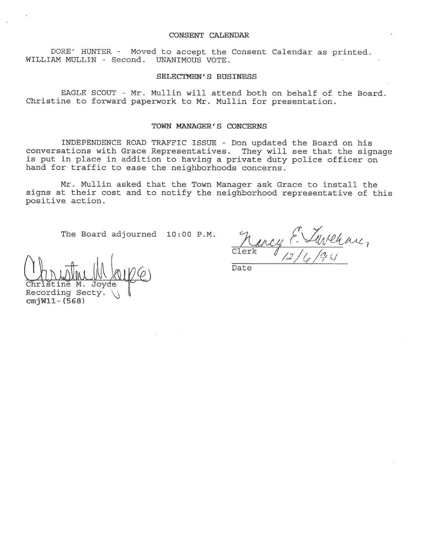#### CONSENT CALENDAR

BORE' HUNTER - Moved to accep<sup>t</sup> the Consent Calendar as printed. WILLIAN MULLIN - Second. UNANIMOUS VOTE.

## SELECTMEN'S BUSINESS

EAGLE SCOUT - Mr. Mullin will attend both on behalf of the Board. Christine to forward paperwor<sup>k</sup> to Mr. Mullin for presentation.

### TOWN MANAGER'S CONCERNS

INDEPENDENCE ROAD TRAFFIC ISSUE - Don updated the Board on his conversations with Grace Representatives. They will see that the signage is pu<sup>t</sup> in <sup>p</sup>lace in addition to having <sup>a</sup> private duty police officer on hand for traffic to ease the neighborhoods concerns.

Mr. Mullin asked that the Town Manager ask Grace to install the signs at their cost and to notify the neighborhood representative of this positive action.

The Board adjourned  $10:00$  P.M.

 $\cal{U}$ Kr Clerk  $\ell$  $'$ , 1 , 1 , 1  $\alpha$ , 1  $\alpha$  $6/7$ 

Date

Christine M. Joyde Recording Secty. cmjWll- (568)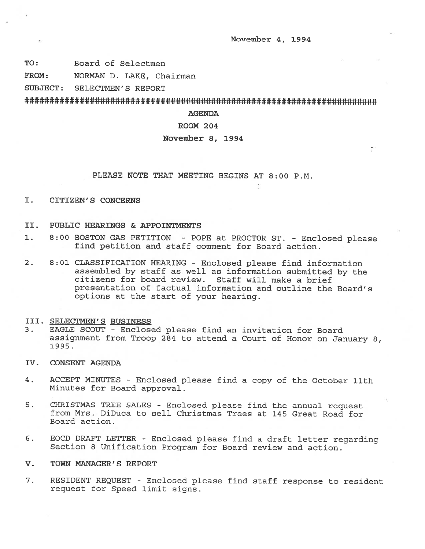November 4, 1994

TO: Board of Selectmen

FROM: NORMAN D. LAKE, Chairman

SUBJECT: SELECTMEN'S REPORT

### AGENDA

# ROOM 204

## November 8, 1994

### PLEASE NOTE THAT MEETING BEGINS AT 8:00 P.M.

I. CITIZEN'S CONCERNS

### II. PUBLIC HEARINGS & APPOINTMENTS

- 1. 8:00 BOSTON GAS PETITION POPE at PROCTOR ST. Enclosed <sup>p</sup>lease find petition and staff comment for Board action.
- 2. 8:01 CLASSIFICATION HEARING Enclosed <sup>p</sup>lease find information assembled by staff as well as information submitted by the citizens for board review. Staff will make <sup>a</sup> brief presentation of factual information and outline the Board's options at the start of your hearing.

### III. SELECTMEN'S BUSINESS

- 3. EAGLE SCOUT Enclosed please find an invitation for Board assignment from Troop <sup>284</sup> to attend <sup>a</sup> Court of Honor on January 8, 1995.
- IV. CONSENT AGENDA
- 4. ACCEPT MINUTES Enclosed <sup>p</sup>lease find <sup>a</sup> copy of the October 11th Minutes for Board approval.
- 5. CHRISTMAS TREE SALES Enclosed <sup>p</sup>lease find the annual reques<sup>t</sup> from Mrs. DiDuca to sell Christmas Trees at 145 Great Road for Board action.
- 6. EOCD DRAFT LETTER Enclosed <sup>p</sup>lease find <sup>a</sup> draft letter regarding Section 8 Unification Program for Board review and action.

### V. TOWN MANAGER'S REPORT

7. RESIDENT REQUEST - Enclosed <sup>p</sup>lease find staff response to resident reques<sup>t</sup> for Speed limit signs.